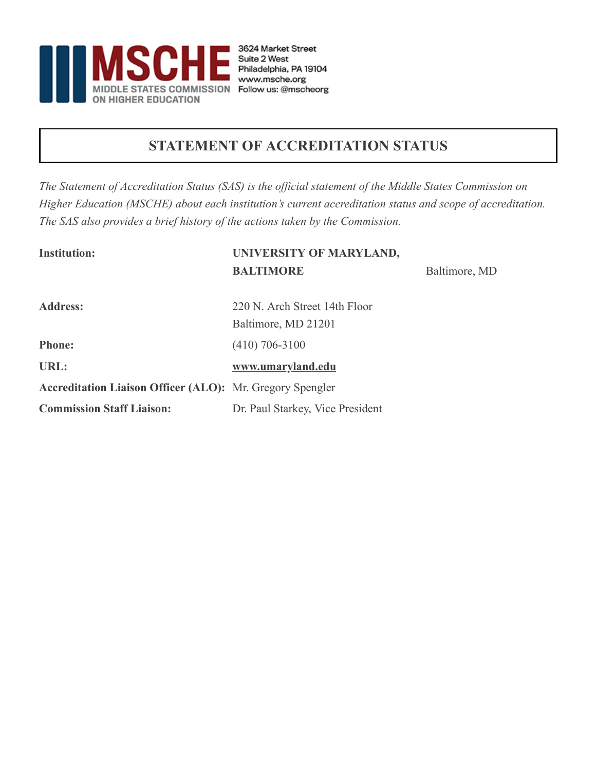

### **STATEMENT OF ACCREDITATION STATUS**

*The Statement of Accreditation Status (SAS) is the official statement of the Middle States Commission on Higher Education (MSCHE) about each institution's current accreditation status and scope of accreditation. The SAS also provides a brief history of the actions taken by the Commission.*

| <b>Institution:</b>                                              | UNIVERSITY OF MARYLAND,          |               |
|------------------------------------------------------------------|----------------------------------|---------------|
|                                                                  | <b>BALTIMORE</b>                 | Baltimore, MD |
| <b>Address:</b>                                                  | 220 N. Arch Street 14th Floor    |               |
|                                                                  | Baltimore, MD 21201              |               |
| <b>Phone:</b>                                                    | $(410)$ 706-3100                 |               |
| URL:                                                             | www.umaryland.edu                |               |
| <b>Accreditation Liaison Officer (ALO):</b> Mr. Gregory Spengler |                                  |               |
| <b>Commission Staff Liaison:</b>                                 | Dr. Paul Starkey, Vice President |               |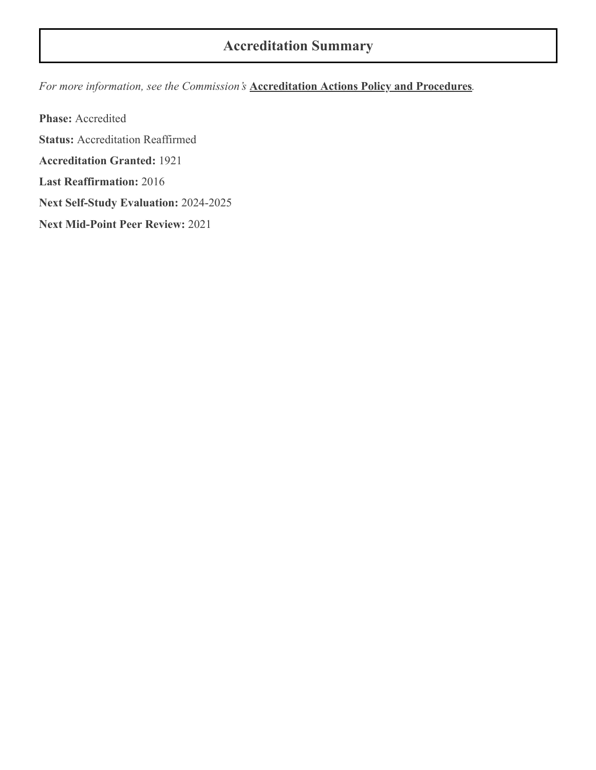### **Accreditation Summary**

*For more information, see the Commission's* **[Accreditation Actions Policy and Procedures](https://www.msche.org/policies-guidelines/)***.*

**Phase:** Accredited **Status:** Accreditation Reaffirmed **Accreditation Granted:** 1921 **Last Reaffirmation:** 2016 **Next Self-Study Evaluation:** 2024-2025 **Next Mid-Point Peer Review:** 2021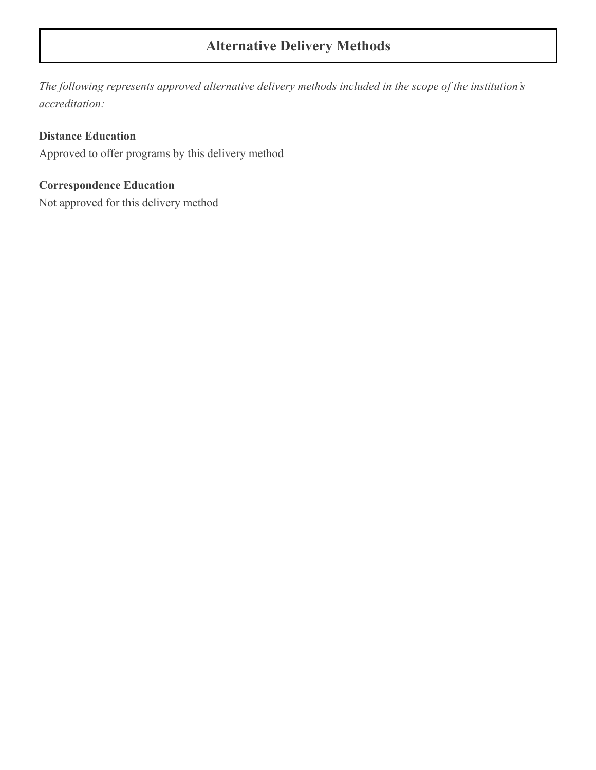# **Alternative Delivery Methods**

*The following represents approved alternative delivery methods included in the scope of the institution's accreditation:*

#### **Distance Education**

Approved to offer programs by this delivery method

#### **Correspondence Education**

Not approved for this delivery method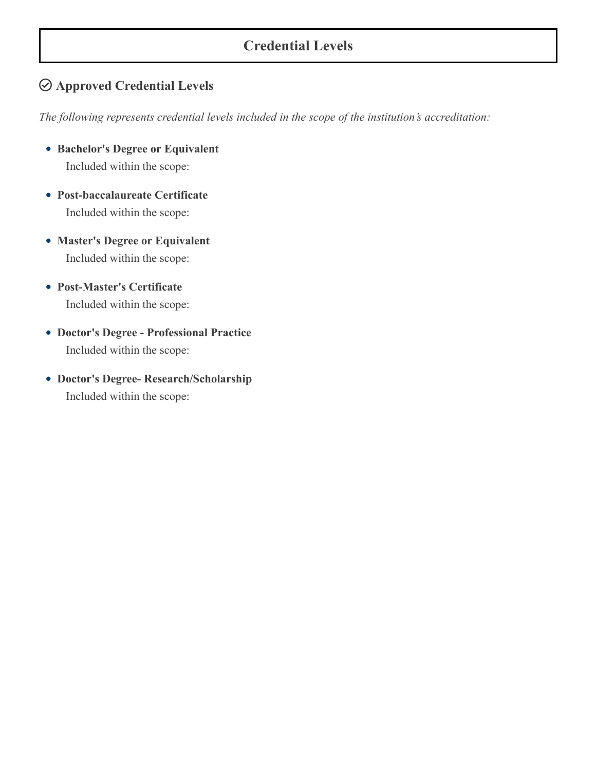#### **Credential Levels**

#### **Approved Credential Levels**

*The following represents credential levels included in the scope of the institution's accreditation:*

- **Bachelor's Degree or Equivalent** Included within the scope:
- **Post-baccalaureate Certificate** Included within the scope:
- **Master's Degree or Equivalent** Included within the scope:
- **Post-Master's Certificate** Included within the scope:
- **Doctor's Degree Professional Practice** Included within the scope:
- **Doctor's Degree- Research/Scholarship** Included within the scope: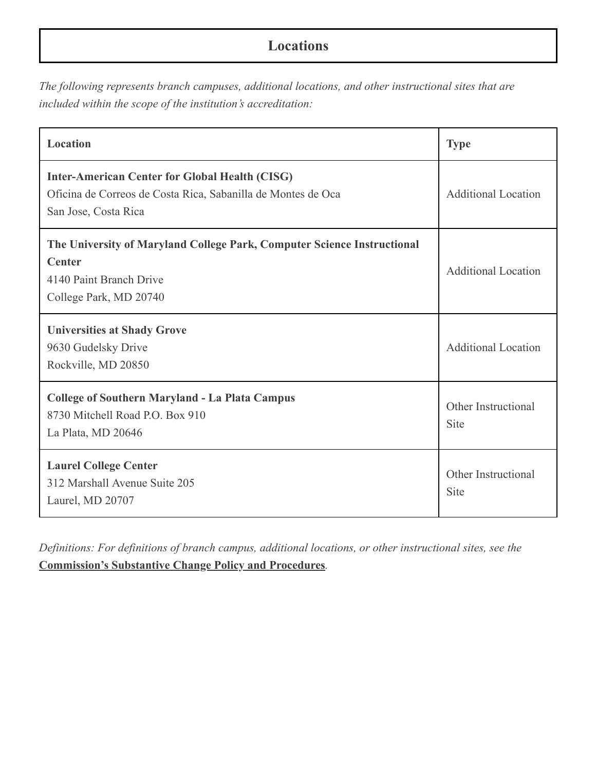# **Locations**

*The following represents branch campuses, additional locations, and other instructional sites that are included within the scope of the institution's accreditation:*

| Location                                                                                                                                      | <b>Type</b>                 |
|-----------------------------------------------------------------------------------------------------------------------------------------------|-----------------------------|
| <b>Inter-American Center for Global Health (CISG)</b><br>Oficina de Correos de Costa Rica, Sabanilla de Montes de Oca<br>San Jose, Costa Rica | <b>Additional Location</b>  |
| The University of Maryland College Park, Computer Science Instructional<br><b>Center</b><br>4140 Paint Branch Drive<br>College Park, MD 20740 | <b>Additional Location</b>  |
| <b>Universities at Shady Grove</b><br>9630 Gudelsky Drive<br>Rockville, MD 20850                                                              | <b>Additional Location</b>  |
| <b>College of Southern Maryland - La Plata Campus</b><br>8730 Mitchell Road P.O. Box 910<br>La Plata, MD 20646                                | Other Instructional<br>Site |
| <b>Laurel College Center</b><br>312 Marshall Avenue Suite 205<br>Laurel, MD 20707                                                             | Other Instructional<br>Site |

*Definitions: For definitions of branch campus, additional locations, or other instructional sites, see the* **[Commission's Substantive Change Policy and Procedures](https://www.msche.org/policies-guidelines/)***.*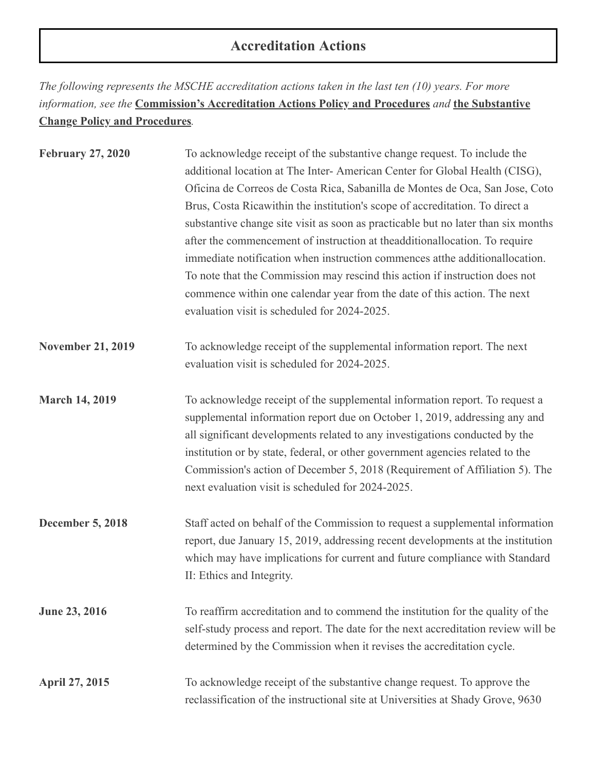# **Accreditation Actions**

*The following represents the MSCHE accreditation actions taken in the last ten (10) years. For more information, see the* **[Commission's Accreditation Actions Policy and Procedures](https://www.msche.org/policies-guidelines/)** *and* **the Substantive Change Policy and Procedures***.*

| <b>February 27, 2020</b> | To acknowledge receipt of the substantive change request. To include the<br>additional location at The Inter-American Center for Global Health (CISG),<br>Oficina de Correos de Costa Rica, Sabanilla de Montes de Oca, San Jose, Coto<br>Brus, Costa Ricawithin the institution's scope of accreditation. To direct a<br>substantive change site visit as soon as practicable but no later than six months<br>after the commencement of instruction at theadditionallocation. To require<br>immediate notification when instruction commences at the additional location.<br>To note that the Commission may rescind this action if instruction does not<br>commence within one calendar year from the date of this action. The next<br>evaluation visit is scheduled for 2024-2025. |
|--------------------------|---------------------------------------------------------------------------------------------------------------------------------------------------------------------------------------------------------------------------------------------------------------------------------------------------------------------------------------------------------------------------------------------------------------------------------------------------------------------------------------------------------------------------------------------------------------------------------------------------------------------------------------------------------------------------------------------------------------------------------------------------------------------------------------|
| <b>November 21, 2019</b> | To acknowledge receipt of the supplemental information report. The next<br>evaluation visit is scheduled for 2024-2025.                                                                                                                                                                                                                                                                                                                                                                                                                                                                                                                                                                                                                                                               |
| <b>March 14, 2019</b>    | To acknowledge receipt of the supplemental information report. To request a<br>supplemental information report due on October 1, 2019, addressing any and<br>all significant developments related to any investigations conducted by the<br>institution or by state, federal, or other government agencies related to the<br>Commission's action of December 5, 2018 (Requirement of Affiliation 5). The<br>next evaluation visit is scheduled for 2024-2025.                                                                                                                                                                                                                                                                                                                         |
| <b>December 5, 2018</b>  | Staff acted on behalf of the Commission to request a supplemental information<br>report, due January 15, 2019, addressing recent developments at the institution<br>which may have implications for current and future compliance with Standard<br>II: Ethics and Integrity.                                                                                                                                                                                                                                                                                                                                                                                                                                                                                                          |
| <b>June 23, 2016</b>     | To reaffirm accreditation and to commend the institution for the quality of the<br>self-study process and report. The date for the next accreditation review will be<br>determined by the Commission when it revises the accreditation cycle.                                                                                                                                                                                                                                                                                                                                                                                                                                                                                                                                         |
| <b>April 27, 2015</b>    | To acknowledge receipt of the substantive change request. To approve the<br>reclassification of the instructional site at Universities at Shady Grove, 9630                                                                                                                                                                                                                                                                                                                                                                                                                                                                                                                                                                                                                           |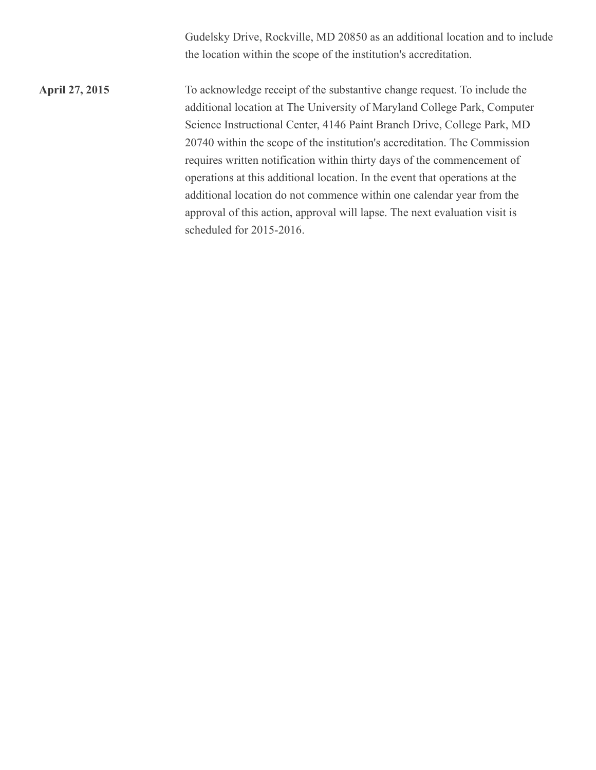Gudelsky Drive, Rockville, MD 20850 as an additional location and to include the location within the scope of the institution's accreditation.

**April 27, 2015** To acknowledge receipt of the substantive change request. To include the additional location at The University of Maryland College Park, Computer Science Instructional Center, 4146 Paint Branch Drive, College Park, MD 20740 within the scope of the institution's accreditation. The Commission requires written notification within thirty days of the commencement of operations at this additional location. In the event that operations at the additional location do not commence within one calendar year from the approval of this action, approval will lapse. The next evaluation visit is scheduled for 2015-2016.